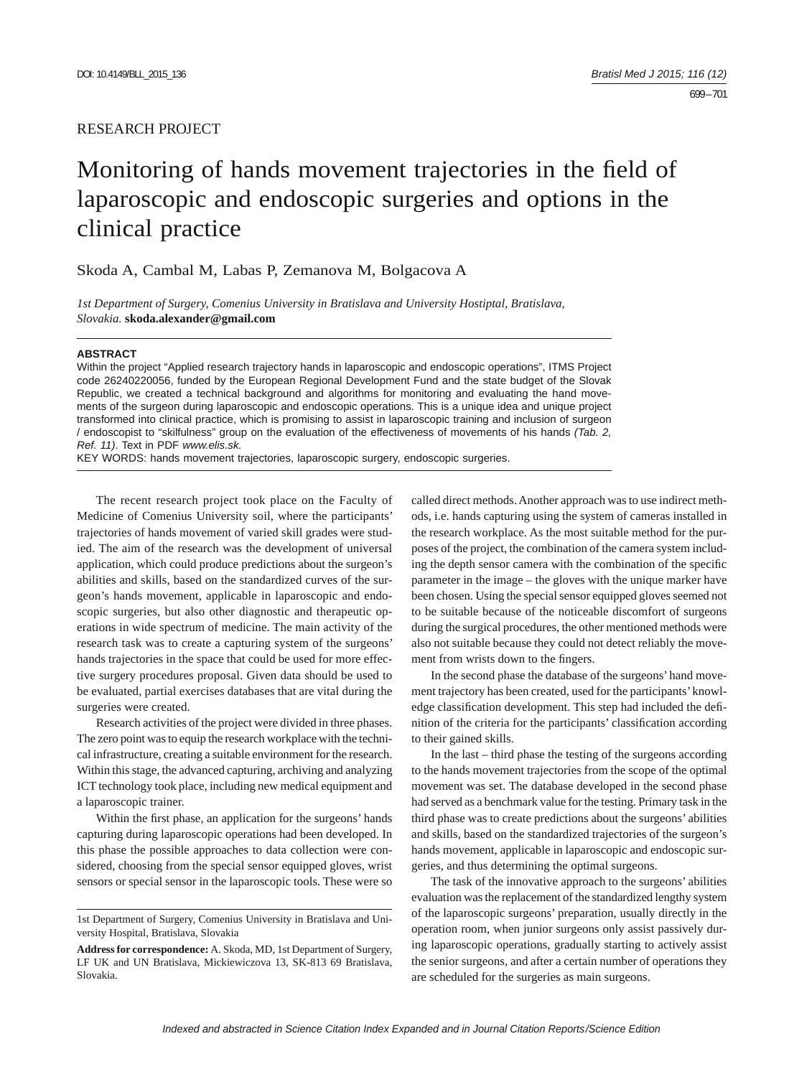## RESEARCH PROJECT

# Monitoring of hands movement trajectories in the field of laparoscopic and endoscopic surgeries and options in the clinical practice

# Skoda A, Cambal M, Labas P, Zemanova M, Bolgacova A

*1st Department of Surgery, Comenius University in Bratislava and University Hostiptal, Bratislava, Slovakia.* **skoda.alexander@gmail.com**

#### **ABSTRACT**

Within the project "Applied research trajectory hands in laparoscopic and endoscopic operations", ITMS Project code 26240220056, funded by the European Regional Development Fund and the state budget of the Slovak Republic, we created a technical background and algorithms for monitoring and evaluating the hand movements of the surgeon during laparoscopic and endoscopic operations. This is a unique idea and unique project transformed into clinical practice, which is promising to assist in laparoscopic training and inclusion of surgeon / endoscopist to "skilfulness" group on the evaluation of the effectiveness of movements of his hands *(Tab. 2, Ref. 11)*. Text in PDF *www.elis.sk.*

KEY WORDS: hands movement trajectories, laparoscopic surgery, endoscopic surgeries.

The recent research project took place on the Faculty of Medicine of Comenius University soil, where the participants' trajectories of hands movement of varied skill grades were studied. The aim of the research was the development of universal application, which could produce predictions about the surgeon's abilities and skills, based on the standardized curves of the surgeon's hands movement, applicable in laparoscopic and endoscopic surgeries, but also other diagnostic and therapeutic operations in wide spectrum of medicine. The main activity of the research task was to create a capturing system of the surgeons' hands trajectories in the space that could be used for more effective surgery procedures proposal. Given data should be used to be evaluated, partial exercises databases that are vital during the surgeries were created.

Research activities of the project were divided in three phases. The zero point was to equip the research workplace with the technical infrastructure, creating a suitable environment for the research. Within this stage, the advanced capturing, archiving and analyzing ICT technology took place, including new medical equipment and a laparoscopic trainer.

Within the first phase, an application for the surgeons' hands capturing during laparoscopic operations had been developed. In this phase the possible approaches to data collection were considered, choosing from the special sensor equipped gloves, wrist sensors or special sensor in the laparoscopic tools. These were so called direct methods. Another approach was to use indirect methods, i.e. hands capturing using the system of cameras installed in the research workplace. As the most suitable method for the purposes of the project, the combination of the camera system including the depth sensor camera with the combination of the specific parameter in the image – the gloves with the unique marker have been chosen. Using the special sensor equipped gloves seemed not to be suitable because of the noticeable discomfort of surgeons during the surgical procedures, the other mentioned methods were also not suitable because they could not detect reliably the movement from wrists down to the fingers.

In the second phase the database of the surgeons' hand movement trajectory has been created, used for the participants' knowledge classification development. This step had included the definition of the criteria for the participants' classification according to their gained skills.

In the last – third phase the testing of the surgeons according to the hands movement trajectories from the scope of the optimal movement was set. The database developed in the second phase had served as a benchmark value for the testing. Primary task in the third phase was to create predictions about the surgeons' abilities and skills, based on the standardized trajectories of the surgeon's hands movement, applicable in laparoscopic and endoscopic surgeries, and thus determining the optimal surgeons.

The task of the innovative approach to the surgeons' abilities evaluation was the replacement of the standardized lengthy system of the laparoscopic surgeons' preparation, usually directly in the operation room, when junior surgeons only assist passively during laparoscopic operations, gradually starting to actively assist the senior surgeons, and after a certain number of operations they are scheduled for the surgeries as main surgeons.

<sup>1</sup>st Department of Surgery, Comenius University in Bratislava and University Hospital, Bratislava, Slovakia

**Address for correspondence:** A. Skoda, MD, 1st Department of Surgery, LF UK and UN Bratislava, Mickiewiczova 13, SK-813 69 Bratislava, Slovakia.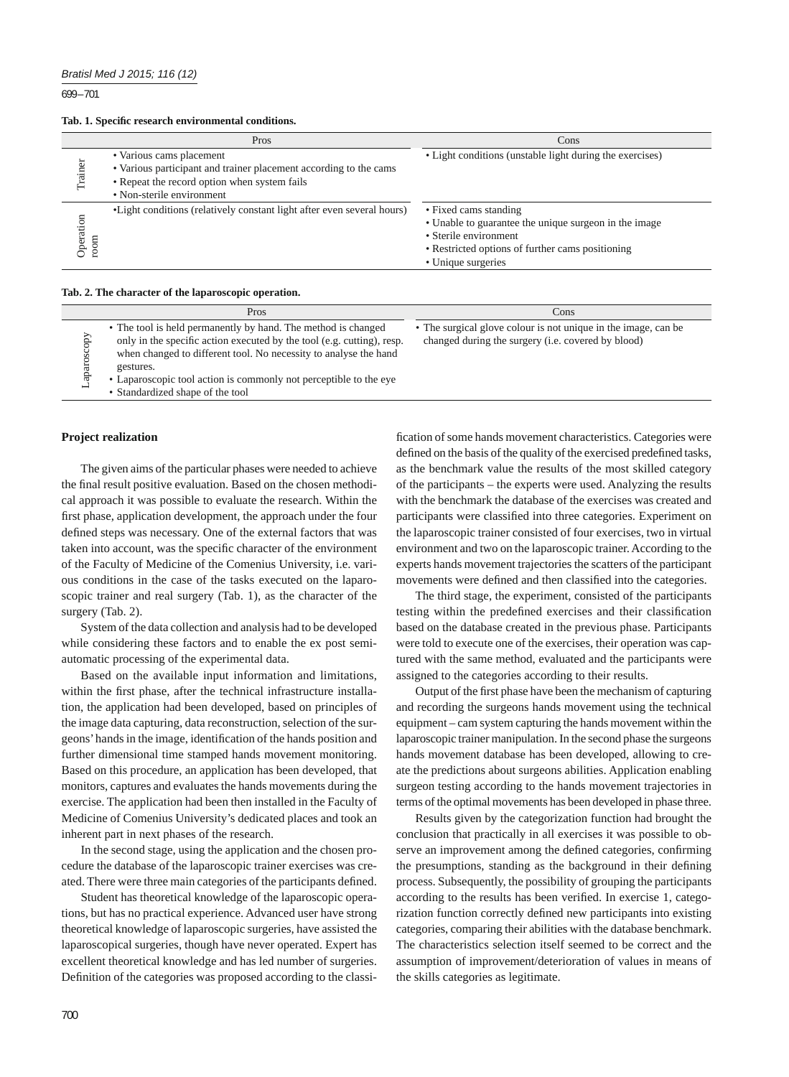699 – 701

#### **Tab. 1. Specifi c research environmental conditions.**

|          | Pros                                                                                                                                                                       | Cons                                                                                                                                                                              |
|----------|----------------------------------------------------------------------------------------------------------------------------------------------------------------------------|-----------------------------------------------------------------------------------------------------------------------------------------------------------------------------------|
| ainer    | • Various cams placement<br>• Various participant and trainer placement according to the cams<br>• Repeat the record option when system fails<br>• Non-sterile environment | • Light conditions (unstable light during the exercises)                                                                                                                          |
| peration | • Light conditions (relatively constant light after even several hours)                                                                                                    | • Fixed cams standing<br>• Unable to guarantee the unique surgeon in the image<br>• Sterile environment<br>• Restricted options of further cams positioning<br>• Unique surgeries |

#### **Tab. 2. The character of the laparoscopic operation.**

|              | Pros                                                                                                                                                                                                                                                                                                                              | Cons                                                                                                                         |
|--------------|-----------------------------------------------------------------------------------------------------------------------------------------------------------------------------------------------------------------------------------------------------------------------------------------------------------------------------------|------------------------------------------------------------------------------------------------------------------------------|
| scopy<br>apa | • The tool is held permanently by hand. The method is changed<br>only in the specific action executed by the tool (e.g. cutting), resp.<br>when changed to different tool. No necessity to analyse the hand<br>gestures.<br>• Laparoscopic tool action is commonly not perceptible to the eye<br>• Standardized shape of the tool | • The surgical glove colour is not unique in the image, can be<br>changed during the surgery ( <i>i.e.</i> covered by blood) |

#### **Project realization**

The given aims of the particular phases were needed to achieve the final result positive evaluation. Based on the chosen methodical approach it was possible to evaluate the research. Within the first phase, application development, the approach under the four defined steps was necessary. One of the external factors that was taken into account, was the specific character of the environment of the Faculty of Medicine of the Comenius University, i.e. various conditions in the case of the tasks executed on the laparoscopic trainer and real surgery (Tab. 1), as the character of the surgery (Tab. 2).

System of the data collection and analysis had to be developed while considering these factors and to enable the ex post semiautomatic processing of the experimental data.

Based on the available input information and limitations, within the first phase, after the technical infrastructure installation, the application had been developed, based on principles of the image data capturing, data reconstruction, selection of the surgeons' hands in the image, identification of the hands position and further dimensional time stamped hands movement monitoring. Based on this procedure, an application has been developed, that monitors, captures and evaluates the hands movements during the exercise. The application had been then installed in the Faculty of Medicine of Comenius University's dedicated places and took an inherent part in next phases of the research.

In the second stage, using the application and the chosen procedure the database of the laparoscopic trainer exercises was created. There were three main categories of the participants defined.

Student has theoretical knowledge of the laparoscopic operations, but has no practical experience. Advanced user have strong theoretical knowledge of laparoscopic surgeries, have assisted the laparoscopical surgeries, though have never operated. Expert has excellent theoretical knowledge and has led number of surgeries. Definition of the categories was proposed according to the classi-

fication of some hands movement characteristics. Categories were defined on the basis of the quality of the exercised predefined tasks, as the benchmark value the results of the most skilled category of the participants – the experts were used. Analyzing the results with the benchmark the database of the exercises was created and participants were classified into three categories. Experiment on the laparoscopic trainer consisted of four exercises, two in virtual environment and two on the laparoscopic trainer. According to the experts hands movement trajectories the scatters of the participant movements were defined and then classified into the categories.

The third stage, the experiment, consisted of the participants testing within the predefined exercises and their classification based on the database created in the previous phase. Participants were told to execute one of the exercises, their operation was captured with the same method, evaluated and the participants were assigned to the categories according to their results.

Output of the first phase have been the mechanism of capturing and recording the surgeons hands movement using the technical equipment – cam system capturing the hands movement within the laparoscopic trainer manipulation. In the second phase the surgeons hands movement database has been developed, allowing to create the predictions about surgeons abilities. Application enabling surgeon testing according to the hands movement trajectories in terms of the optimal movements has been developed in phase three.

Results given by the categorization function had brought the conclusion that practically in all exercises it was possible to observe an improvement among the defined categories, confirming the presumptions, standing as the background in their defining process. Subsequently, the possibility of grouping the participants according to the results has been verified. In exercise 1, categorization function correctly defined new participants into existing categories, comparing their abilities with the database benchmark. The characteristics selection itself seemed to be correct and the assumption of improvement/deterioration of values in means of the skills categories as legitimate.